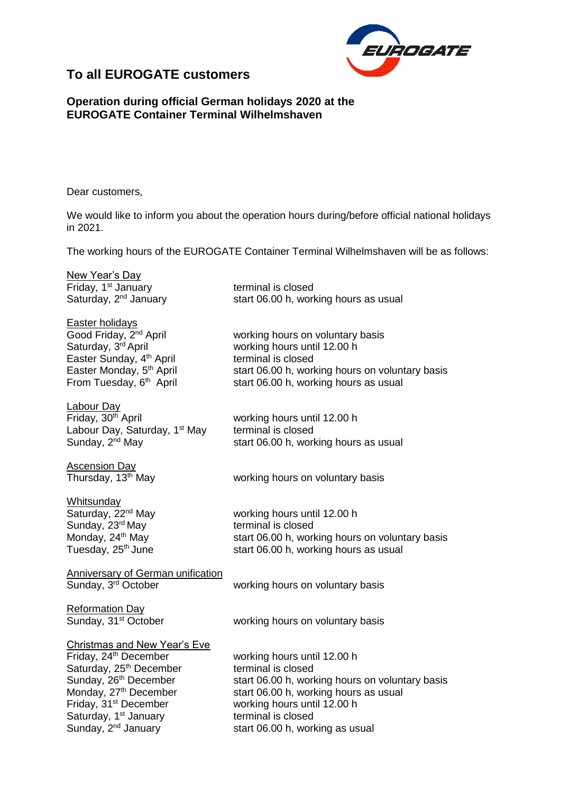

## **To all EUROGATE customers**

## **Operation during official German holidays 2020 at the EUROGATE Container Terminal Wilhelmshaven**

Dear customers,

We would like to inform you about the operation hours during/before official national holidays in 2021.

The working hours of the EUROGATE Container Terminal Wilhelmshaven will be as follows:

working hours on voluntary basis

start 06.00 h, working hours as usual

start 06.00 h, working hours as usual

working hours until 12.00 h

working hours until 12.00 h

terminal is closed

New Year's Day Friday, 1<sup>st</sup> January terminal is closed Saturday, 2<sup>nd</sup> January start 06.00 h, working hours as usual

Easter holidays Good Friday, 2<sup>nd</sup> April Saturday, 3rd April Easter Sunday, 4 Easter Monday, 5<sup>th</sup> April From Tuesday, 6<sup>th</sup> April

Labour Day<br>Fridav. 30<sup>th</sup> April Labour Day, Saturday, 1<sup>st</sup> May Sunday, 2<sup>nd</sup> May

Ascension Day

Thursday, 13<sup>th</sup> May vorking hours on voluntary basis

terminal is closed

**Whitsunday** Sunday, 23<sup>rd</sup> May terminal is closed

Saturday, 22<sup>nd</sup> May working hours until 12.00 h Monday, 24<sup>th</sup> May start 06.00 h, working hours on voluntary basis Tuesday, 25<sup>th</sup> June start 06.00 h, working hours as usual

start 06.00 h, working hours on voluntary basis

Anniversary of German unification

Sunday, 3<sup>rd</sup> October **working hours on voluntary basis** 

Reformation Day Sunday, 31<sup>st</sup> October working hours on voluntary basis

Christmas and New Year's Eve

Saturday, 25<sup>th</sup> December terminal is closed Friday, 31<sup>st</sup> December working hours until 12.00 h Saturday, 1<sup>st</sup> January **terminal is closed**<br>
Sunday, 2<sup>nd</sup> January **the Statube Start 06.00 h, work** 

Friday, 24<sup>th</sup> December working hours until 12.00 h Sunday, 26<sup>th</sup> December start 06.00 h, working hours on voluntary basis Monday, 27<sup>th</sup> December start 06.00 h, working hours as usual start 06.00 h, working as usual